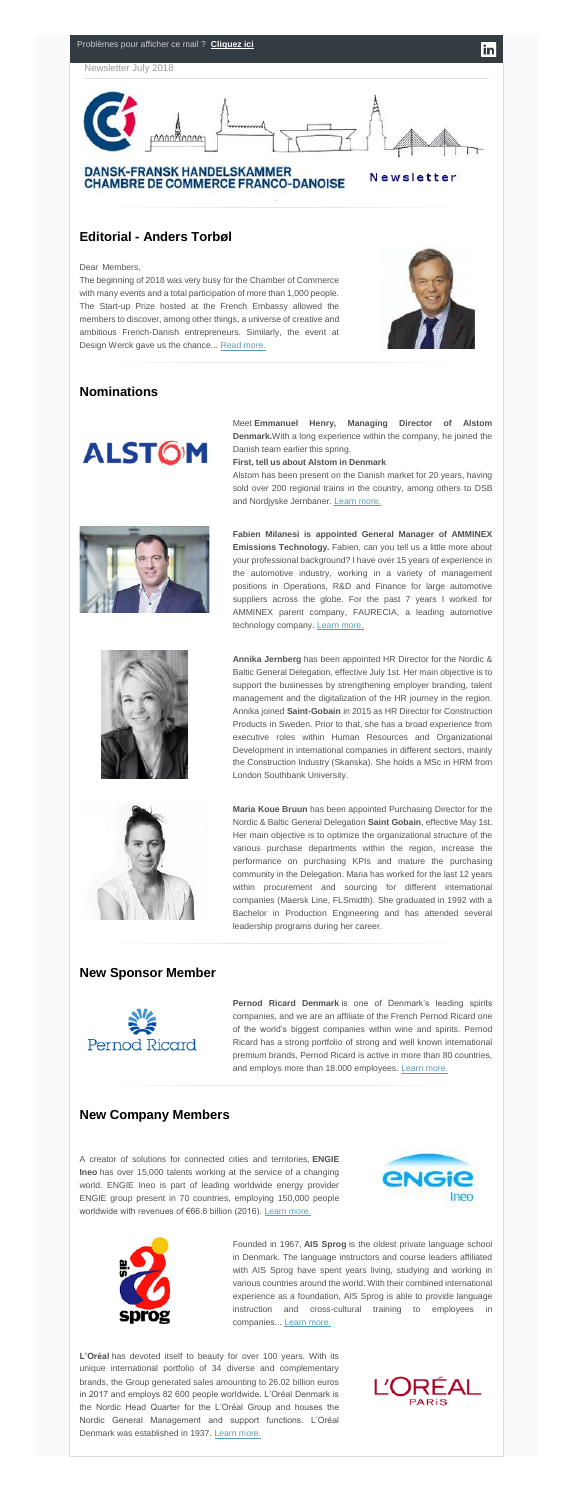

The beginning of 2018 was very busy for the Chamber of Commerce with many events and a total participation of more than 1,000 people. The Start-up Prize hosted at the French Embassy allowed the members to discover, among other things, a universe of creative and ambitious French-Danish entrepreneurs. Similarly, the event at Design Werck gave us the chance... [Read more.](http://www.dansk-fransk.dk/index.php?id=36517&no_cache=1)





**DANSK-FRANSK HANDELSKAMMER CHAMBRE DE COMMERCE FRANCO-DANOISE** 

Newsletter

 $\vert$ in $\vert$ 

# **Editorial - Anders Torbøl**

### Dear Members,

Meet **Emmanuel Henry, Managing Director of Alstom Denmark.**With a long experience within the company, he joined the Danish team earlier this spring.

Alstom has been present on the Danish market for 20 years, having sold over 200 regional trains in the country, among others to DSB and Nordjyske Jernbaner. [Learn more.](http://www.dansk-fransk.dk/index.php?id=36516)







**Fabien Milanesi is appointed General Manager of AMMINEX Emissions Technology.** Fabien, can you tell us a little more about your professional background? I have over 15 years of experience in the automotive industry, working in a variety of management positions in Operations, R&D and Finance for large automotive suppliers across the globe. For the past 7 years I worked for AMMINEX parent company, FAURECIA, a leading automotive technology company. [Learn more.](http://www.dansk-fransk.dk/index.php?id=36499&no_cache=1)

# **Nominations**



**First, tell us about Alstom in Denmark………………………………**

**Pernod Ricard Denmark** is one of Denmark's leading spirits companies, and we are an affiliate of the French Pernod Ricard one of the world's biggest companies within wine and spirits. Pernod Ricard has a strong portfolio of strong and well known international premium brands, Pernod Ricard is active in more than 80 countries, and employs more than 18.000 employees. [Learn more.](http://www.dansk-fransk.dk/index.php?id=8249&L=0)

A creator of solutions for connected cities and territories, **ENGIE Ineo** has over 15,000 talents working at the service of a changing world. ENGIE Ineo is part of leading worldwide energy provider ENGIE group present in 70 countries, employing 150,000 people worldwide with revenues of €66.6 billion (2016). [Learn more.](http://www.dansk-fransk.dk/fileadmin/template/danemark/Newsletter_juillet_18/Engie_Ineo_Presentation_EN_Chambre_de_commerce.pdf)





**Annika Jernberg** has been appointed HR Director for the Nordic & Baltic General Delegation, effective July 1st. Her main objective is to support the businesses by strengthening employer branding, talent management and the digitalization of the HR journey in the region. Annika joined **Saint-Gobain** in 2015 as HR Director for Construction Products in Sweden. Prior to that, she has a broad experience from executive roles within Human Resources and Organizational Development in international companies in different sectors, mainly the Construction Industry (Skanska). She holds a MSc in HRM from London Southbank University.

Founded in 1967, **AIS Sprog** is the oldest private language school in Denmark. The language instructors and course leaders affiliated with AIS Sprog have spent years living, studying and working in various countries around the world. With their combined international experience as a foundation, AIS Sprog is able to provide language instruction and cross-cultural training to employees in companies... [Learn more.](http://www.dansk-fransk.dk/index.php?id=36483)

**Maria Koue Bruun** has been appointed Purchasing Director for the Nordic & Baltic General Delegation **Saint Gobain**, effective May 1st. Her main objective is to optimize the organizational structure of the various purchase departments within the region, increase the performance on purchasing KPIs and mature the purchasing community in the Delegation. Maria has worked for the last 12 years within procurement and sourcing for different international companies (Maersk Line, FLSmidth). She graduated in 1992 with a Bachelor in Production Engineering and has attended several leadership programs during her career.

### **New Sponsor Member**



## **New Company Members**

**L'Oréal** has devoted itself to beauty for over 100 years. With its unique international portfolio of 34 diverse and complementary brands, the Group generated sales amounting to 26.02 billion euros in 2017 and employs 82 600 people worldwide. L'Oréal Denmark is the Nordic Head Quarter for the L'Oréal Group and houses the Nordic General Management and support functions. L'Oréal Denmark was established in 1937. [Learn more.](https://www.lorealparis.dk/?gclid=CjwKCAjwg_fZBRAoEiwAppvp-cKU3a4BR1s2KCOh9ErJENhh4bF8PRIGoZWY49r9kiKwH_Nt4mOGSxoCHR0QAvD_BwE)

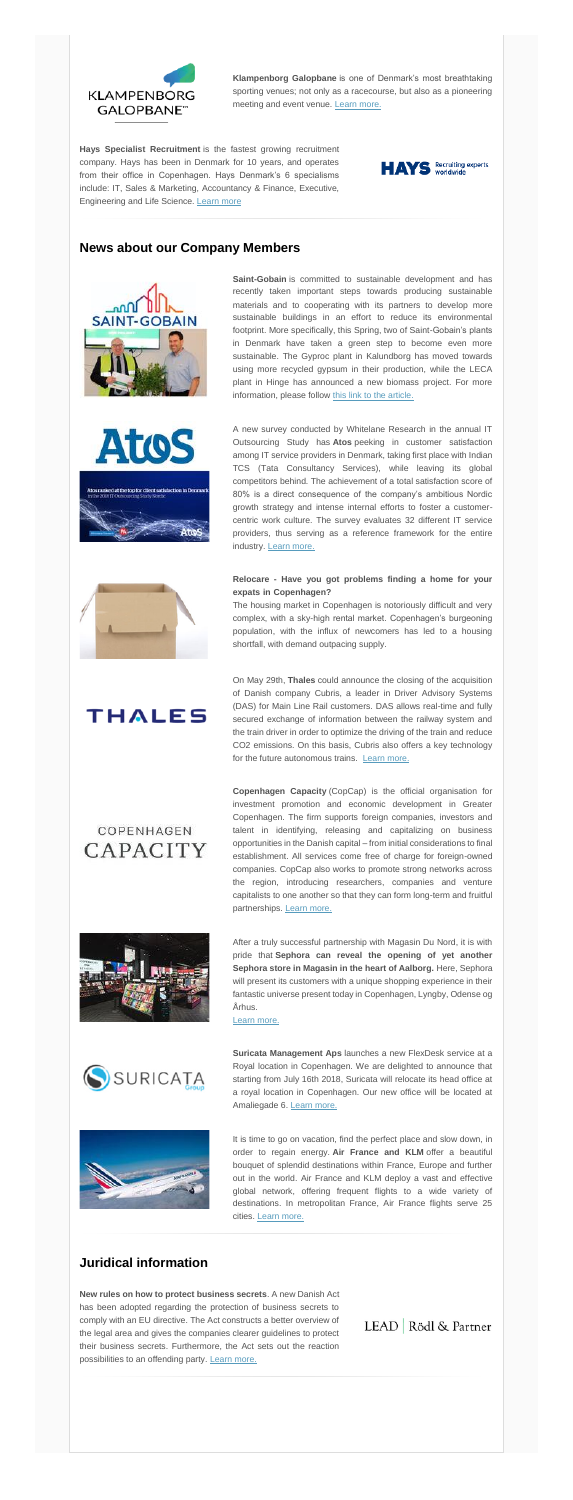

**Klampenborg Galopbane** is one of Denmark's most breathtaking sporting venues; not only as a racecourse, but also as a pioneering meeting and event venue. [Learn more.](http://www.dansk-fransk.dk/index.php?id=36486)

**Saint-Gobain** is committed to sustainable development and has recently taken important steps towards producing sustainable materials and to cooperating with its partners to develop more sustainable buildings in an effort to reduce its environmental footprint. More specifically, this Spring, two of Saint-Gobain's plants in Denmark have taken a green step to become even more sustainable. The Gyproc plant in Kalundborg has moved towards using more recycled gypsum in their production, while the LECA plant in Hinge has announced a new biomass project. For more information, please follow [this link to the article.](http://www.dansk-fransk.dk/index.php?id=36492&L=0)

**Hays Specialist Recruitment** is the fastest growing recruitment company. Hays has been in Denmark for 10 years, and operates from their office in Copenhagen. Hays Denmark's 6 specialisms include: IT, Sales & Marketing, Accountancy & Finance, Executive, Engineering and Life Science. [Learn more](http://www.dansk-fransk.dk/index.php?id=36485)



# **News about our Company Members**





A new survey conducted by Whitelane Research in the annual IT Outsourcing Study has **Atos** peeking in customer satisfaction among IT service providers in Denmark, taking first place with Indian TCS (Tata Consultancy Services), while leaving its global competitors behind. The achievement of a total satisfaction score of 80% is a direct consequence of the company's ambitious Nordic growth strategy and intense internal efforts to foster a customercentric work culture. The survey evaluates 32 different IT service providers, thus serving as a reference framework for the entire industry. [Learn more.](https://atos.net/en/nordics/atos-customer-satisfaction-dk)



### **Relocare - Have you got problems finding a home for your**  expats in Copenhagen?

**Suricata Management Aps** launches a new FlexDesk service at a Royal location in Copenhagen. We are delighted to announce that starting from July 16th 2018, Suricata will relocate its head office at a royal location in Copenhagen. Our new office will be located at Amaliegade 6. [Learn more.](http://www.dansk-fransk.dk/index.php?id=36496&no_cache=1)



It is time to go on vacation, find the perfect place and slow down, in order to regain energy. **Air France and KLM** offer a beautiful bouquet of splendid destinations within France, Europe and further out in the world. Air France and KLM deploy a vast and effective global network, offering frequent flights to a wide variety of destinations. In metropolitan France, Air France flights serve 25 cities. [Learn more.](http://www.dansk-fransk.dk/index.php?id=36512)

The housing market in Copenhagen is notoriously difficult and very complex, with a sky-high rental market. Copenhagen's burgeoning population, with the influx of newcomers has led to a housing shortfall, with demand outpacing supply.

# **THALES**

# COPENHAGEN **CAPACITY**

**New rules on how to protect business secrets**. A new Danish Act has been adopted regarding the protection of business secrets to comply with an EU directive. The Act constructs a better overview of the legal area and gives the companies clearer guidelines to protect their business secrets. Furthermore, the Act sets out the reaction possibilities to an offending party. [Learn more.](http://www.dansk-fransk.dk/index.php?id=36497)

LEAD Rödl & Partner

On May 29th, **Thales** could announce the closing of the acquisition of Danish company Cubris, a leader in Driver Advisory Systems (DAS) for Main Line Rail customers. DAS allows real-time and fully secured exchange of information between the railway system and the train driver in order to optimize the driving of the train and reduce CO2 emissions. On this basis, Cubris also offers a key technology for the future autonomous trains. [Learn more.](http://www.dansk-fransk.dk/index.php?id=36494&no_cache=1)

**Copenhagen Capacity** (CopCap) is the official organisation for investment promotion and economic development in Greater Copenhagen. The firm supports foreign companies, investors and talent in identifying, releasing and capitalizing on business opportunities in the Danish capital – from initial considerations to final establishment. All services come free of charge for foreign-owned

companies. CopCap also works to promote strong networks across the region, introducing researchers, companies and venture capitalists to one another so that they can form long-term and fruitful partnerships. [Learn more.](http://www.copcap.com/)



After a truly successful partnership with Magasin Du Nord, it is with pride that **Sephora can reveal the opening of yet another Sephora store in Magasin in the heart of Aalborg.** Here, Sephora will present its customers with a unique shopping experience in their fantastic universe present today in Copenhagen, Lyngby, Odense og Århus.

[Learn more.](http://www.dansk-fransk.dk/index.php?id=36495)



### **Juridical information**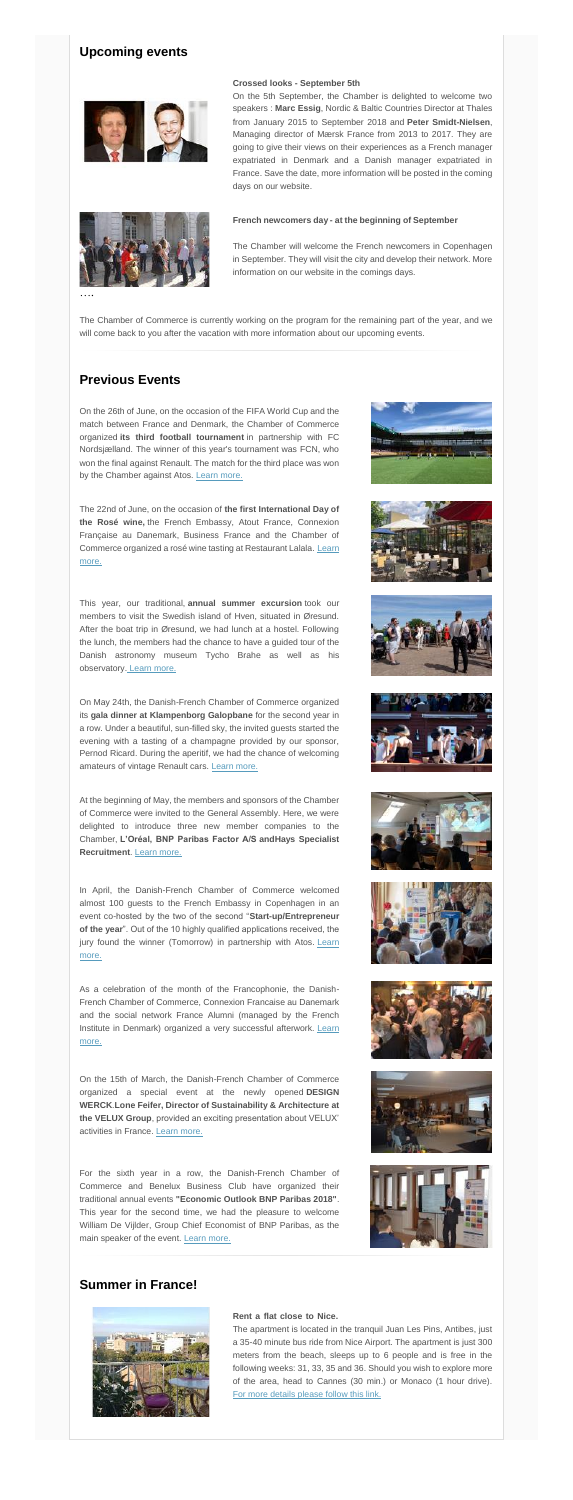# **Upcoming events**





#### **Crossed looks - September 5th………………………………………**

On the 5th September, the Chamber is delighted to welcome two speakers : **Marc Essig**, Nordic & Baltic Countries Director at Thales from January 2015 to September 2018 and **Peter Smidt-Nielsen**, Managing director of Mærsk France from 2013 to 2017. They are going to give their views on their experiences as a French manager expatriated in Denmark and a Danish manager expatriated in France. Save the date, more information will be posted in the coming days on our website.

On the 26th of June, on the occasion of the FIFA World Cup and the match between France and Denmark, the Chamber of Commerce organized **its third football tournament** in partnership with FC Nordsjælland. The winner of this year's tournament was FCN, who won the final against Renault. The match for the third place was won by the Chamber against Atos. [Learn more.](http://www.dansk-fransk.dk/index.php?id=36505)

#### **French newcomers day - at the beginning of September…………**

The Chamber will welcome the French newcomers in Copenhagen in September. They will visit the city and develop their network. More information on our website in the comings days.

….

The Chamber of Commerce is currently working on the program for the remaining part of the year, and we will come back to you after the vacation with more information about our upcoming events.

# **Previous Events**

On May 24th, the Danish-French Chamber of Commerce organized its **gala dinner at Klampenborg Galopbane** for the second year in a row. Under a beautiful, sun-filled sky, the invited guests started the evening with a tasting of a champagne provided by our sponsor, Pernod Ricard. During the aperitif, we had the chance of welcoming amateurs of vintage Renault cars. [Learn more.](http://www.dansk-fransk.dk/actualite/diners-de-gala/gala-dinner-2018/)

The 22nd of June, on the occasion of **the first International Day of the Rosé wine,** the French Embassy, Atout France, Connexion Française au Danemark, Business France and the Chamber of Commerce organized a rosé wine tasting at Restaurant Lalala. Learn [more.](http://www.dansk-fransk.dk/index.php?id=36506)

For the sixth year in a row, the Danish-French Chamber of Commerce and Benelux Business Club have organized their traditional annual events **"Economic Outlook BNP Paribas 2018"**. This year for the second time, we had the pleasure to welcome William De Vijlder, Group Chief Economist of BNP Paribas, as the main speaker of the event. [Learn more.](http://www.dansk-fransk.dk/index.php?id=36509)









This year, our traditional, **annual summer excursion** took our members to visit the Swedish island of Hven, situated in Øresund. After the boat trip in Øresund, we had lunch at a hostel. Following the lunch, the members had the chance to have a guided tour of the Danish astronomy museum Tycho Brahe as well as his observatory. [Learn more.](http://www.dansk-fransk.dk/index.php?id=36507)

At the beginning of May, the members and sponsors of the Chamber of Commerce were invited to the General Assembly. Here, we were delighted to introduce three new member companies to the Chamber, **L'Oréal, BNP Paribas Factor A/S andHays Specialist Recruitment**. [Learn more.](http://www.dansk-fransk.dk/index.php?id=36500)











In April, the Danish-French Chamber of Commerce welcomed almost 100 guests to the French Embassy in Copenhagen in an event co-hosted by the two of the second "**Start-up/Entrepreneur of the year**". Out of the 10 highly qualified applications received, the jury found the winner (Tomorrow) in partnership with Atos. Learn [more.](http://www.dansk-fransk.dk/index.php?id=36501)

As a celebration of the month of the Francophonie, the Danish-French Chamber of Commerce, Connexion Francaise au Danemark and the social network France Alumni (managed by the French Institute in Denmark) organized a very successful afterwork. Learn [more.](http://www.dansk-fransk.dk/index.php?id=36502)

On the 15th of March, the Danish-French Chamber of Commerce organized a special event at the newly opened **DESIGN WERCK**.**Lone Feifer, Director of Sustainability & Architecture at the VELUX Group**, provided an exciting presentation about VELUX' activities in France. [Learn more.](http://www.dansk-fransk.dk/index.php?id=36508&no_cache=1)

# **Summer in France!**



#### **Rent a flat close to Nice.**

The apartment is located in the tranquil Juan Les Pins, Antibes, just a 35-40 minute bus ride from Nice Airport. The apartment is just 300 meters from the beach, sleeps up to 6 people and is free in the following weeks: 31, 33, 35 and 36. Should you wish to explore more of the area, head to Cannes (30 min.) or Monaco (1 hour drive)[.](http://www.dansk-fransk.dk/fileadmin/template/danemark/Newsletter_juillet_18/JLP_brochure_-_emailing.pdf) [For more details please follow this link.](http://www.dansk-fransk.dk/fileadmin/template/danemark/Newsletter_juillet_18/JLP_brochure_-_emailing.pdf)